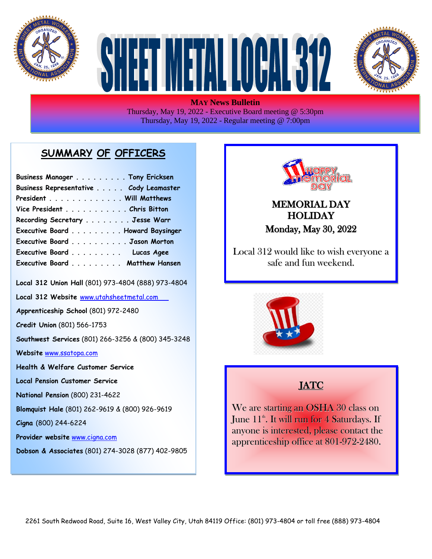





**MAY News Bulletin** Thursday, May 19, 2022 - Executive Board meeting @ 5:30pm Thursday, May 19, 2022 - Regular meeting @ 7:00pm

## **SUMMARY OF OFFICERS**

| Business Manager Tony Ericksen         |  |
|----------------------------------------|--|
| Business Representative Cody Leamaster |  |
| President Will Matthews                |  |
| Vice President Chris Bitton            |  |
| Recording Secretary Jesse Warr         |  |
| Executive Board Howard Baysinger       |  |
| Executive Board Jason Morton           |  |
| Executive Board Lucas Agee             |  |
| Executive Board Matthew Hansen         |  |

**Local 312 Union Hall** (801) 973-4804 (888) 973-4804

**Local 312 Website** [www.utahsheetmetal.com](http://www.utahsheetmetal.com/)

**Apprenticeship School** (801) 972-2480

**Credit Union** (801) 566-1753

**Southwest Services** (801) 266-3256 & (800) 345-3248

**Website** [www.ssatopa.com](http://www.ssatopa.com/)

- **Health & Welfare Customer Service**
- **Local Pension Customer Service**
- **National Pension** (800) 231-4622

**Blomquist Hale** (801) 262-9619 & (800) 926-9619

**Cigna** (800) 244-6224

**Provider website** [www.cigna.com](http://www.cigna.com/)

**Dobson & Associates** (801) 274-3028 (877) 402-9805



#### MEMORIAL DAY **HOLIDAY** Monday, May 30, 2022

Local 312 would like to wish everyone a safe and fun weekend.



## JATC

We are starting an OSHA 30 class on June  $11^{\textrm{\tiny th}}.$  It will run for  $4$  Saturdays. If anyone is interested, please contact the apprenticeship office at 801-972-2480.